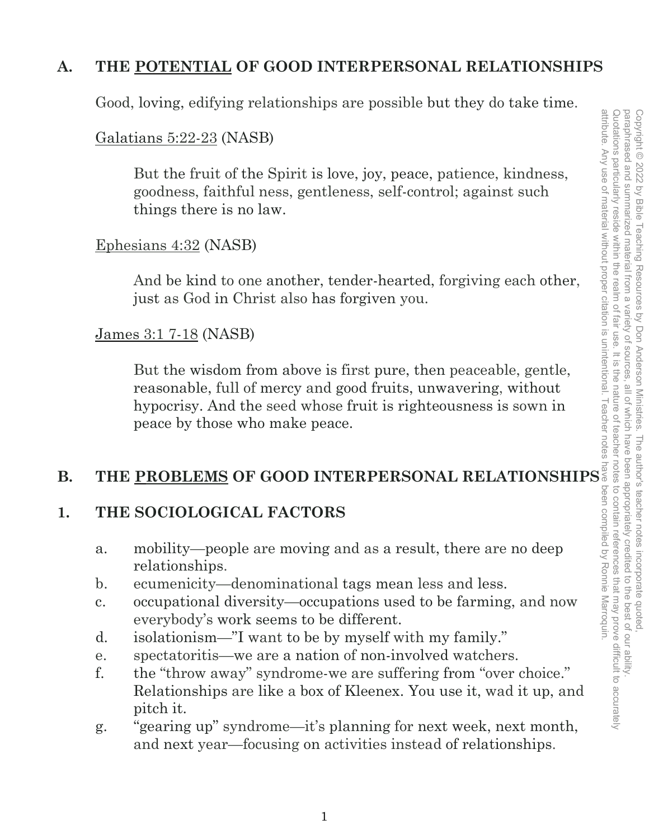# **A. THE POTENTIAL OF GOOD INTERPERSONAL RELATIONSHIPS**

Good, loving, edifying relationships are possible but they do take time.

## Galatians 5:22-23 (NASB)

But the fruit of the Spirit is love, joy, peace, patience, kindness, goodness, faithful ness, gentleness, self-control; against such things there is no law.

## Ephesians 4:32 (NASB)

And be kind to one another, tender-hearted, forgiving each other, just as God in Christ also has forgiven you.

## James 3:1 7-18 (NASB)

But the wisdom from above is first pure, then peaceable, gentle, reasonable, full of mercy and good fruits, unwavering, without hypocrisy. And the seed whose fruit is righteousness is sown in peace by those who make peace.

## **B. THE PROBLEMS OF GOOD INTERPERSONAL RELATIONSHIPS**

## **1. THE SOCIOLOGICAL FACTORS**

- a. mobility—people are moving and as a result, there are no deep relationships.
- b. ecumenicity—denominational tags mean less and less.
- c. occupational diversity—occupations used to be farming, and now everybody's work seems to be different.
- d. isolationism—"I want to be by myself with my family."
- e. spectatoritis—we are a nation of non-involved watchers.
- f. the "throw away" syndrome-we are suffering from "over choice." Relationships are like a box of Kleenex. You use it, wad it up, and pitch it.
- g. "gearing up" syndrome—it's planning for next week, next month, and next year—focusing on activities instead of relationships.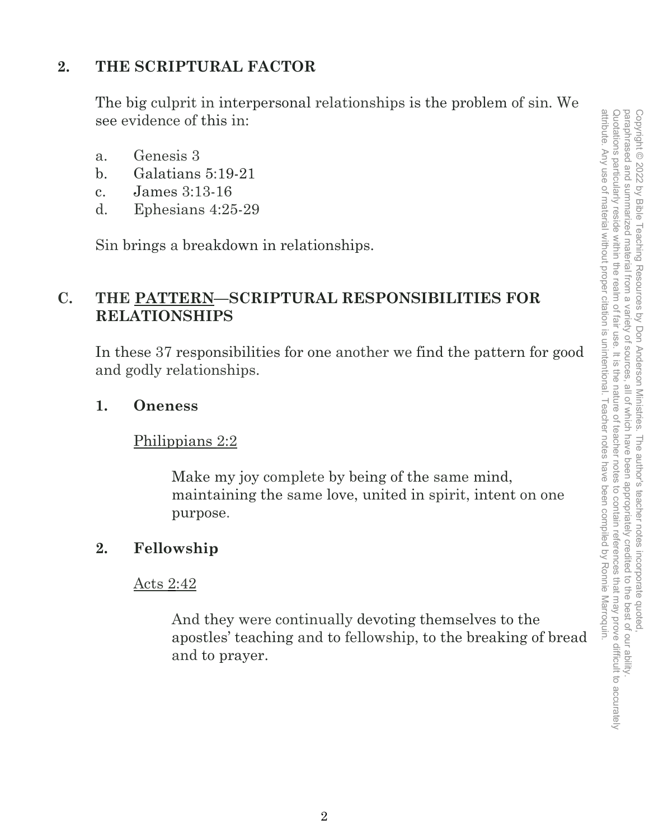# **2. THE SCRIPTURAL FACTOR**

The big culprit in interpersonal relationships is the problem of sin. We see evidence of this in:

- a. Genesis 3
- b. Galatians 5:19-21
- c. James 3:13-16
- d. Ephesians 4:25-29

Sin brings a breakdown in relationships.

# **C. THE PATTERN—SCRIPTURAL RESPONSIBILITIES FOR RELATIONSHIPS**

In these 37 responsibilities for one another we find the pattern for good and godly relationships.

## **1. Oneness**

## Philippians 2:2

Make my joy complete by being of the same mind, maintaining the same love, united in spirit, intent on one purpose.

# **2. Fellowship**

## Acts 2:42

And they were continually devoting themselves to the apostles' teaching and to fellowship, to the breaking of bread and to prayer.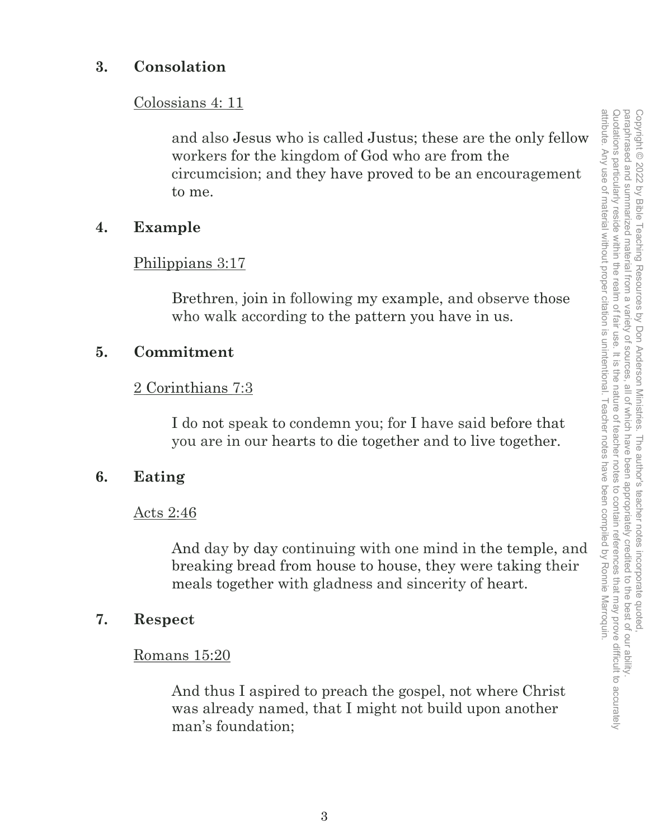## **3. Consolation**

#### Colossians 4: 11

and also Jesus who is called Justus; these are the only fellow workers for the kingdom of God who are from the circumcision; and they have proved to be an encouragement to me.

## **4. Example**

## Philippians 3:17

Brethren, join in following my example, and observe those who walk according to the pattern you have in us.

## **5. Commitment**

## 2 Corinthians 7:3

I do not speak to condemn you; for I have said before that you are in our hearts to die together and to live together.

## **6. Eating**

#### Acts 2:46

And day by day continuing with one mind in the temple, and breaking bread from house to house, they were taking their meals together with gladness and sincerity of heart.

#### **7. Respect**

#### Romans 15:20

And thus I aspired to preach the gospel, not where Christ was already named, that I might not build upon another man's foundation;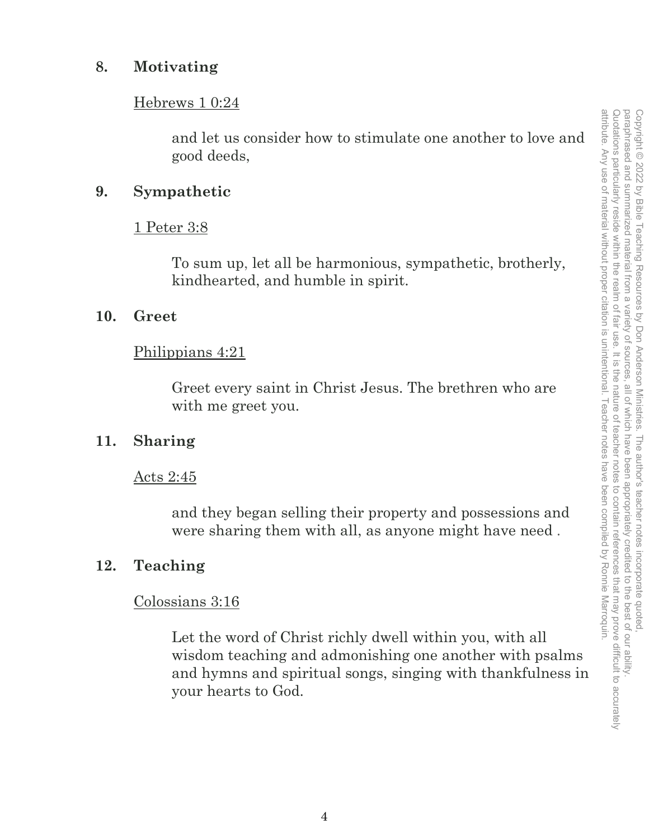## **8. Motivating**

#### Hebrews 1 0:24

and let us consider how to stimulate one another to love and good deeds,

## **9. Sympathetic**

## 1 Peter 3:8

To sum up, let all be harmonious, sympathetic, brotherly, kindhearted, and humble in spirit.

## **10. Greet**

## Philippians 4:21

Greet every saint in Christ Jesus. The brethren who are with me greet you.

## **11. Sharing**

#### Acts 2:45

and they began selling their property and possessions and were sharing them with all, as anyone might have need .

## **12. Teaching**

#### Colossians 3:16

Let the word of Christ richly dwell within you, with all wisdom teaching and admonishing one another with psalms and hymns and spiritual songs, singing with thankfulness in your hearts to God.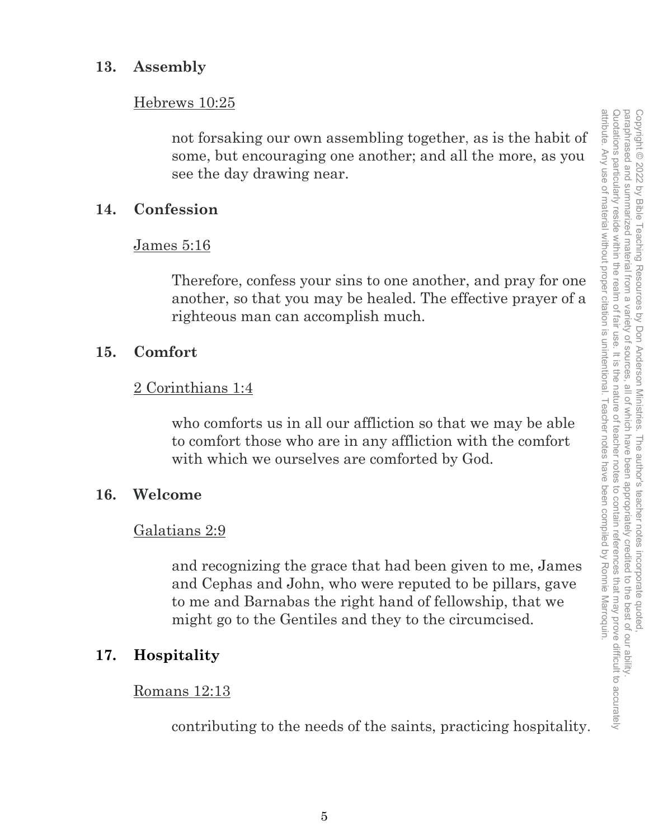## **13. Assembly**

#### Hebrews 10:25

not forsaking our own assembling together, as is the habit of some, but encouraging one another; and all the more, as you see the day drawing near.

## **14. Confession**

#### James 5:16

Therefore, confess your sins to one another, and pray for one another, so that you may be healed. The effective prayer of a righteous man can accomplish much.

## **15. Comfort**

#### 2 Corinthians 1:4

who comforts us in all our affliction so that we may be able to comfort those who are in any affliction with the comfort with which we ourselves are comforted by God.

## **16. Welcome**

#### Galatians 2:9

and recognizing the grace that had been given to me, James and Cephas and John, who were reputed to be pillars, gave to me and Barnabas the right hand of fellowship, that we might go to the Gentiles and they to the circumcised.

## **17. Hospitality**

#### Romans 12:13

contributing to the needs of the saints, practicing hospitality.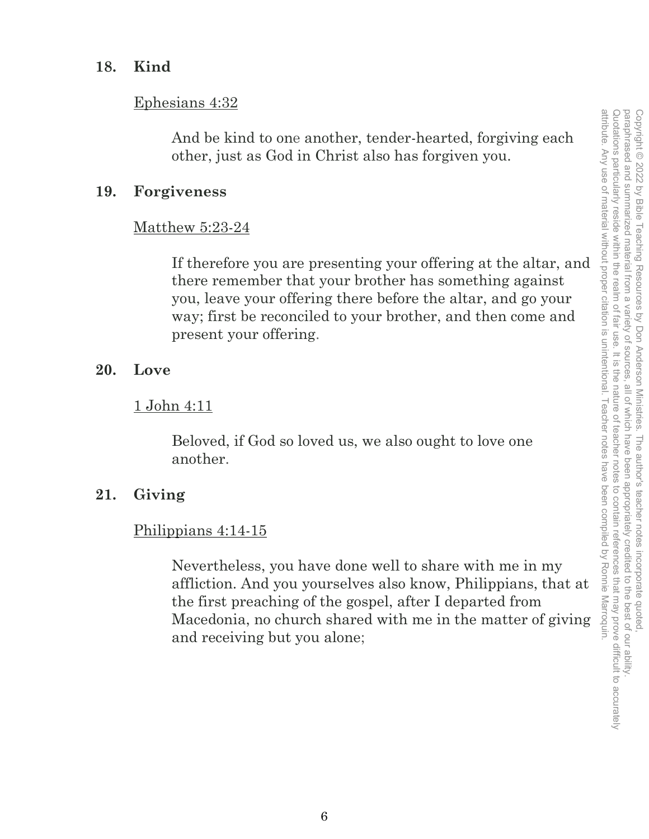## **18. Kind**

## Ephesians 4:32

And be kind to one another, tender-hearted, forgiving each other, just as God in Christ also has forgiven you.

## **19. Forgiveness**

## Matthew 5:23-24

If therefore you are presenting your offering at the altar, and there remember that your brother has something against you, leave your offering there before the altar, and go your way; first be reconciled to your brother, and then come and present your offering.

## **20. Love**

## 1 John 4:11

Beloved, if God so loved us, we also ought to love one another.

## **21. Giving**

## Philippians 4:14-15

Nevertheless, you have done well to share with me in my affliction. And you yourselves also know, Philippians, that at the first preaching of the gospel, after I departed from Macedonia, no church shared with me in the matter of giving and receiving but you alone;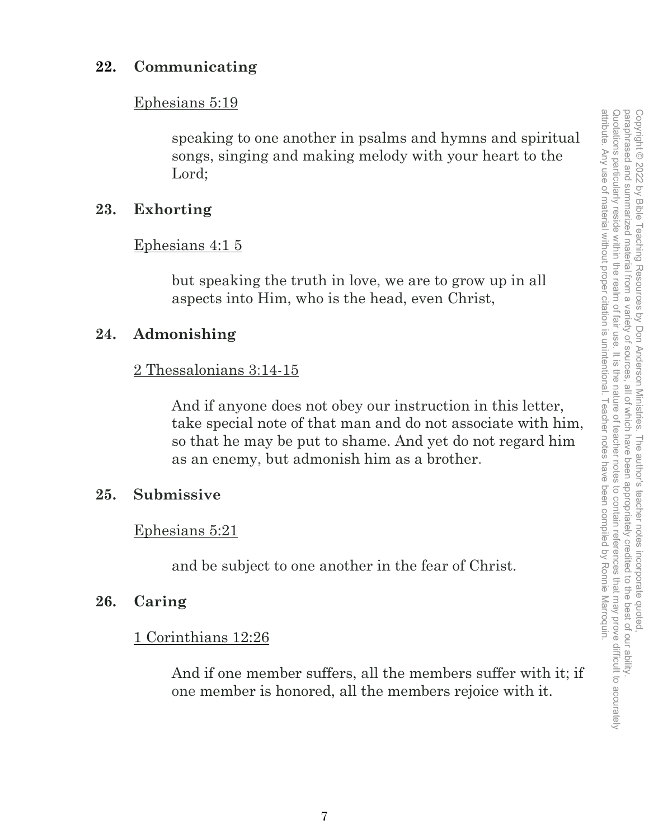## **22. Communicating**

#### Ephesians 5:19

speaking to one another in psalms and hymns and spiritual songs, singing and making melody with your heart to the Lord;

## **23. Exhorting**

#### Ephesians 4:1 5

but speaking the truth in love, we are to grow up in all aspects into Him, who is the head, even Christ,

## **24. Admonishing**

#### 2 Thessalonians 3:14-15

And if anyone does not obey our instruction in this letter, take special note of that man and do not associate with him, so that he may be put to shame. And yet do not regard him as an enemy, but admonish him as a brother.

## **25. Submissive**

#### Ephesians 5:21

and be subject to one another in the fear of Christ.

## **26. Caring**

## 1 Corinthians 12:26

And if one member suffers, all the members suffer with it; if one member is honored, all the members rejoice with it.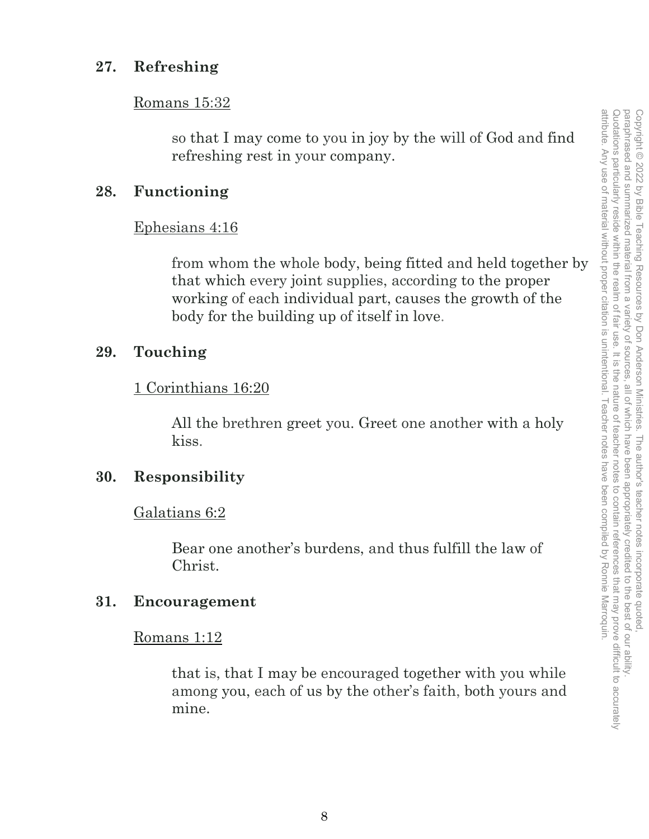## **27. Refreshing**

#### Romans 15:32

so that I may come to you in joy by the will of God and find refreshing rest in your company.

## **28. Functioning**

Ephesians 4:16

from whom the whole body, being fitted and held together by that which every joint supplies, according to the proper working of each individual part, causes the growth of the body for the building up of itself in love.

# **29. Touching**

## 1 Corinthians 16:20

All the brethren greet you. Greet one another with a holy kiss.

## **30. Responsibility**

Galatians 6:2

Bear one another's burdens, and thus fulfill the law of Christ.

## **31. Encouragement**

## Romans 1:12

that is, that I may be encouraged together with you while among you, each of us by the other's faith, both yours and mine.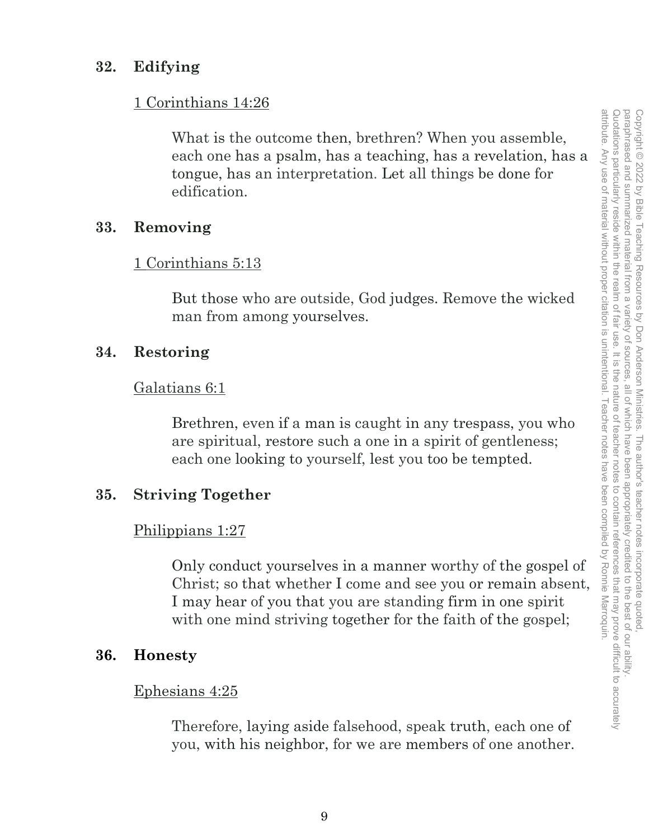## **32. Edifying**

#### 1 Corinthians 14:26

What is the outcome then, brethren? When you assemble, each one has a psalm, has a teaching, has a revelation, has a tongue, has an interpretation. Let all things be done for edification.

#### **33. Removing**

#### 1 Corinthians 5:13

But those who are outside, God judges. Remove the wicked man from among yourselves.

#### **34. Restoring**

#### Galatians 6:1

Brethren, even if a man is caught in any trespass, you who are spiritual, restore such a one in a spirit of gentleness; each one looking to yourself, lest you too be tempted.

## **35. Striving Together**

#### Philippians 1:27

Only conduct yourselves in a manner worthy of the gospel of Christ; so that whether I come and see you or remain absent, I may hear of you that you are standing firm in one spirit with one mind striving together for the faith of the gospel;

## **36. Honesty**

#### Ephesians 4:25

Therefore, laying aside falsehood, speak truth, each one of you, with his neighbor, for we are members of one another.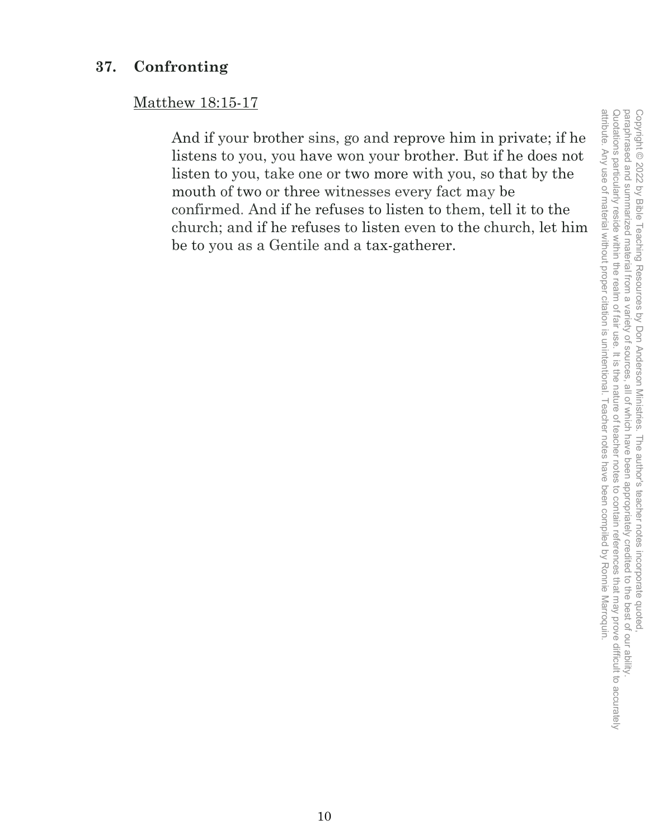# **37. Confronting**

# Matthew 18:15-17

And if your brother sins, go and reprove him in private; if he listens to you, you have won your brother. But if he does not listen to you, take one or two more with you, so that by the mouth of two or three witnesses every fact may be confirmed. And if he refuses to listen to them, tell it to the church; and if he refuses to listen even to the church, let him be to you as a Gentile and a tax-gatherer.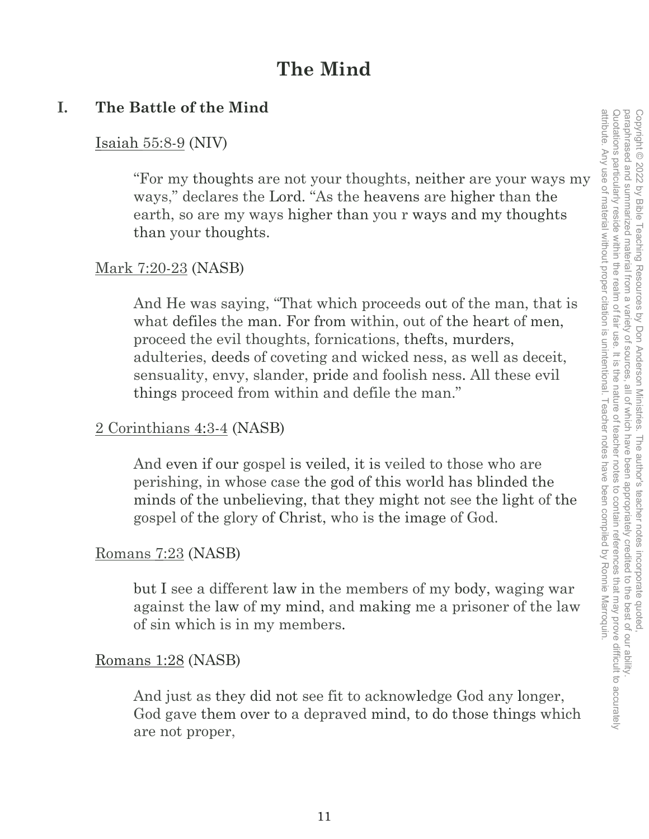# **The Mind**

# **I. The Battle of the Mind**

## Isaiah 55:8-9 (NIV)

"For my thoughts are not your thoughts, neither are your ways my ways," declares the Lord. "As the heavens are higher than the earth, so are my ways higher than you r ways and my thoughts than your thoughts.

## Mark 7:20-23 (NASB)

And He was saying, "That which proceeds out of the man, that is what defiles the man. For from within, out of the heart of men. proceed the evil thoughts, fornications, thefts, murders, adulteries, deeds of coveting and wicked ness, as well as deceit, sensuality, envy, slander, pride and foolish ness. All these evil things proceed from within and defile the man."

## 2 Corinthians 4:3-4 (NASB)

And even if our gospel is veiled, it is veiled to those who are perishing, in whose case the god of this world has blinded the minds of the unbelieving, that they might not see the light of the gospel of the glory of Christ, who is the image of God.

## Romans 7:23 (NASB)

but I see a different law in the members of my body, waging war against the law of my mind, and making me a prisoner of the law of sin which is in my members.

## Romans 1:28 (NASB)

And just as they did not see fit to acknowledge God any longer, God gave them over to a depraved mind, to do those things which are not proper,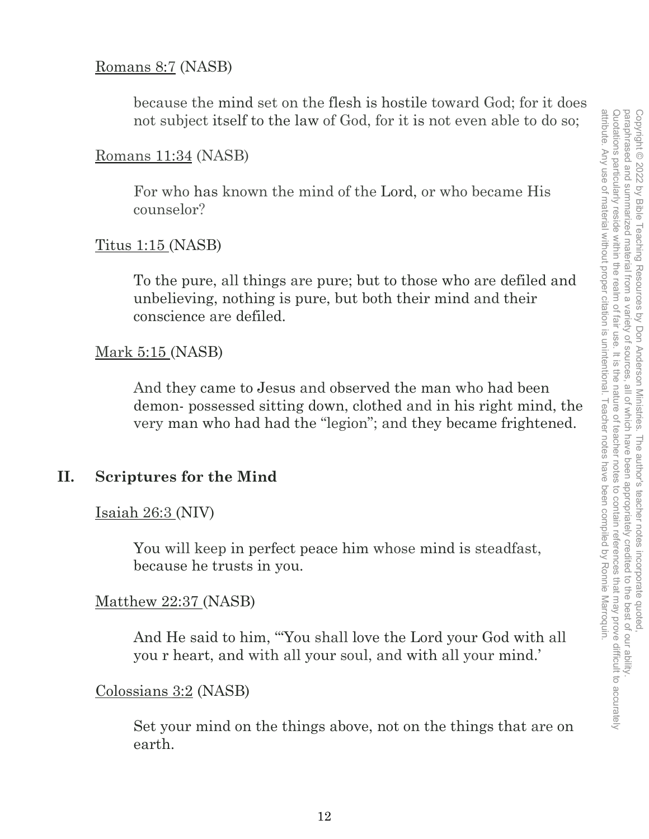## Romans 8:7 (NASB)

because the mind set on the flesh is hostile toward God; for it does not subject itself to the law of God, for it is not even able to do so;

## Romans 11:34 (NASB)

For who has known the mind of the Lord, or who became His counselor?

## Titus 1:15 (NASB)

To the pure, all things are pure; but to those who are defiled and unbelieving, nothing is pure, but both their mind and their conscience are defiled.

## Mark 5:15 (NASB)

And they came to Jesus and observed the man who had been demon- possessed sitting down, clothed and in his right mind, the very man who had had the "legion"; and they became frightened.

## **II. Scriptures for the Mind**

## Isaiah 26:3 (NIV)

You will keep in perfect peace him whose mind is steadfast, because he trusts in you.

#### Matthew 22:37 (NASB)

And He said to him, '"You shall love the Lord your God with all you r heart, and with all your soul, and with all your mind.'

#### Colossians 3:2 (NASB)

Set your mind on the things above, not on the things that are on earth.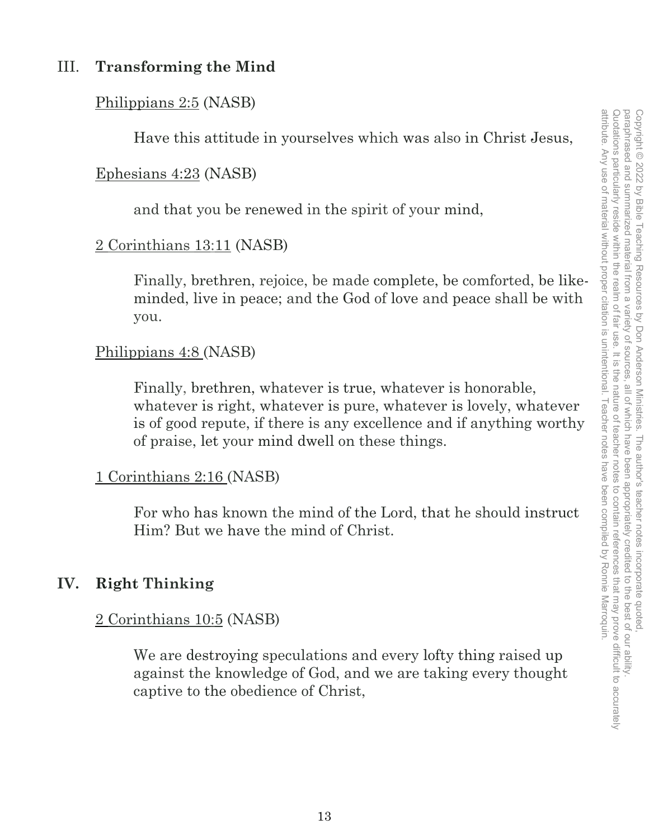# III. **Transforming the Mind**

## Philippians 2:5 (NASB)

Have this attitude in yourselves which was also in Christ Jesus,

## Ephesians 4:23 (NASB)

and that you be renewed in the spirit of your mind,

## 2 Corinthians 13:11 (NASB)

Finally, brethren, rejoice, be made complete, be comforted, be likeminded, live in peace; and the God of love and peace shall be with you.

## Philippians 4:8 (NASB)

Finally, brethren, whatever is true, whatever is honorable, whatever is right, whatever is pure, whatever is lovely, whatever is of good repute, if there is any excellence and if anything worthy of praise, let your mind dwell on these things.

## 1 Corinthians 2:16 (NASB)

For who has known the mind of the Lord, that he should instruct Him? But we have the mind of Christ.

# **IV. Right Thinking**

## 2 Corinthians 10:5 (NASB)

We are destroying speculations and every lofty thing raised up against the knowledge of God, and we are taking every thought captive to the obedience of Christ,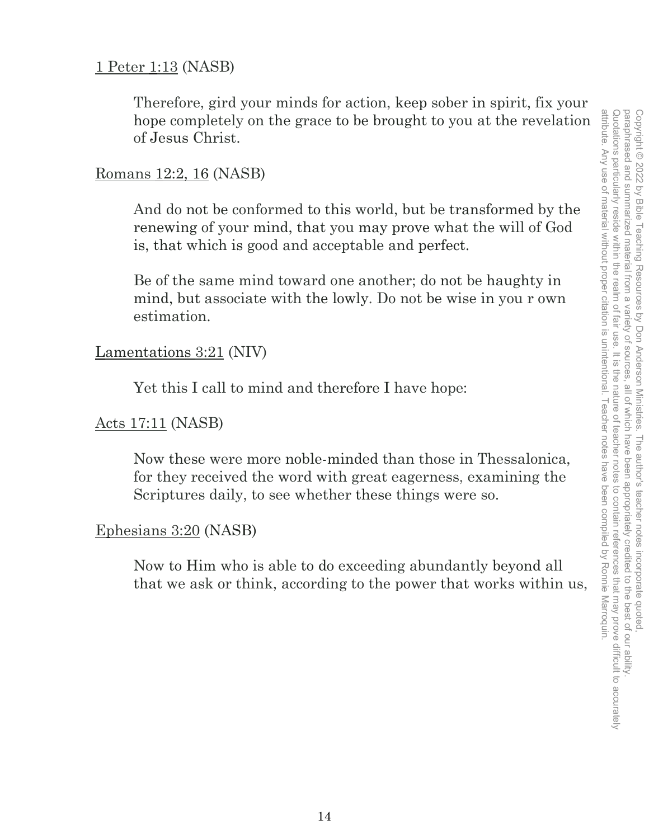## 1 Peter 1:13 (NASB)

Therefore, gird your minds for action, keep sober in spirit, fix your hope completely on the grace to be brought to you at the revelation of Jesus Christ.

## Romans 12:2, 16 (NASB)

And do not be conformed to this world, but be transformed by the renewing of your mind, that you may prove what the will of God is, that which is good and acceptable and perfect.

Be of the same mind toward one another; do not be haughty in mind, but associate with the lowly. Do not be wise in you r own estimation.

## Lamentations 3:21 (NIV)

Yet this I call to mind and therefore I have hope:

## Acts 17:11 (NASB)

Now these were more noble-minded than those in Thessalonica, for they received the word with great eagerness, examining the Scriptures daily, to see whether these things were so.

## Ephesians 3:20 (NASB)

Now to Him who is able to do exceeding abundantly beyond all that we ask or think, according to the power that works within us,